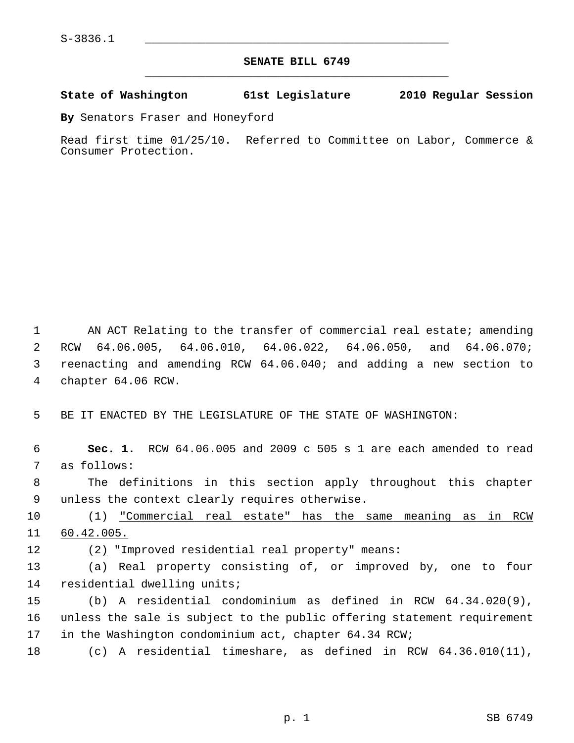## **SENATE BILL 6749** \_\_\_\_\_\_\_\_\_\_\_\_\_\_\_\_\_\_\_\_\_\_\_\_\_\_\_\_\_\_\_\_\_\_\_\_\_\_\_\_\_\_\_\_\_

## **State of Washington 61st Legislature 2010 Regular Session**

**By** Senators Fraser and Honeyford

Read first time 01/25/10. Referred to Committee on Labor, Commerce & Consumer Protection.

 1 AN ACT Relating to the transfer of commercial real estate; amending 2 RCW 64.06.005, 64.06.010, 64.06.022, 64.06.050, and 64.06.070; 3 reenacting and amending RCW 64.06.040; and adding a new section to 4 chapter 64.06 RCW.

5 BE IT ENACTED BY THE LEGISLATURE OF THE STATE OF WASHINGTON:

 6 **Sec. 1.** RCW 64.06.005 and 2009 c 505 s 1 are each amended to read 7 as follows:

 8 The definitions in this section apply throughout this chapter 9 unless the context clearly requires otherwise.

10 (1) "Commercial real estate" has the same meaning as in RCW 11 60.42.005.

12 (2) "Improved residential real property" means:

13 (a) Real property consisting of, or improved by, one to four 14 residential dwelling units;

15 (b) A residential condominium as defined in RCW 64.34.020(9), 16 unless the sale is subject to the public offering statement requirement 17 in the Washington condominium act, chapter 64.34 RCW;

18 (c) A residential timeshare, as defined in RCW 64.36.010(11),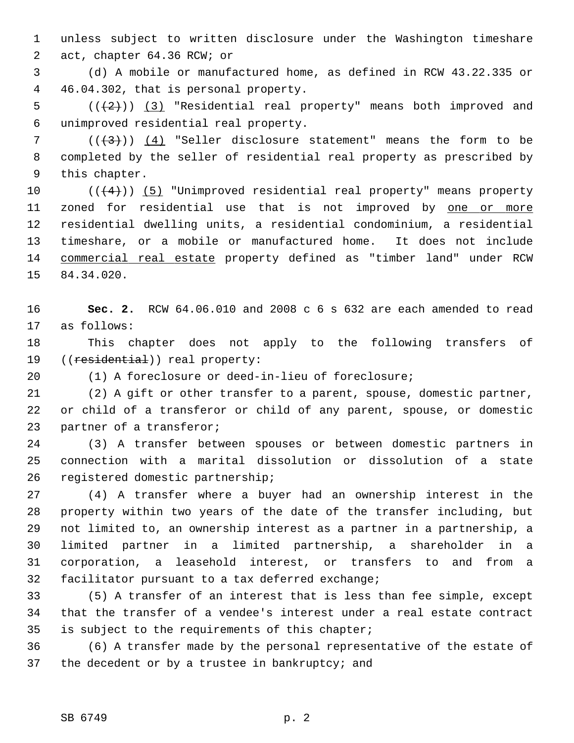1 unless subject to written disclosure under the Washington timeshare 2 act, chapter 64.36 RCW; or

 3 (d) A mobile or manufactured home, as defined in RCW 43.22.335 or 4 46.04.302, that is personal property.

5  $((+2))$   $(3)$  "Residential real property" means both improved and 6 unimproved residential real property.

 $7$  ( $(\frac{1}{3})$ ) (4) "Seller disclosure statement" means the form to be 8 completed by the seller of residential real property as prescribed by 9 this chapter.

10  $((+4))$  (5) "Unimproved residential real property" means property 11 zoned for residential use that is not improved by one or more 12 residential dwelling units, a residential condominium, a residential 13 timeshare, or a mobile or manufactured home. It does not include 14 commercial real estate property defined as "timber land" under RCW 15 84.34.020.

16 **Sec. 2.** RCW 64.06.010 and 2008 c 6 s 632 are each amended to read 17 as follows:

18 This chapter does not apply to the following transfers of 19 ((residential)) real property:

20 (1) A foreclosure or deed-in-lieu of foreclosure;

21 (2) A gift or other transfer to a parent, spouse, domestic partner, 22 or child of a transferor or child of any parent, spouse, or domestic 23 partner of a transferor;

24 (3) A transfer between spouses or between domestic partners in 25 connection with a marital dissolution or dissolution of a state 26 registered domestic partnership;

27 (4) A transfer where a buyer had an ownership interest in the 28 property within two years of the date of the transfer including, but 29 not limited to, an ownership interest as a partner in a partnership, a 30 limited partner in a limited partnership, a shareholder in a 31 corporation, a leasehold interest, or transfers to and from a 32 facilitator pursuant to a tax deferred exchange;

33 (5) A transfer of an interest that is less than fee simple, except 34 that the transfer of a vendee's interest under a real estate contract 35 is subject to the requirements of this chapter;

36 (6) A transfer made by the personal representative of the estate of 37 the decedent or by a trustee in bankruptcy; and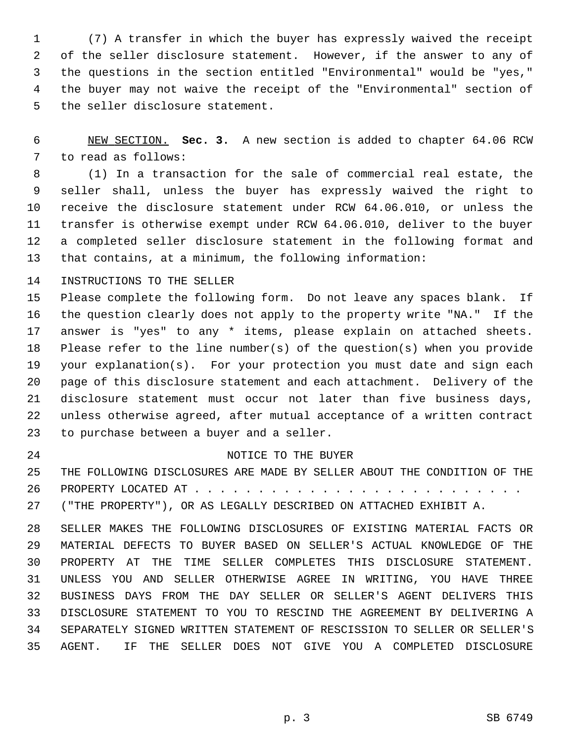1 (7) A transfer in which the buyer has expressly waived the receipt 2 of the seller disclosure statement. However, if the answer to any of 3 the questions in the section entitled "Environmental" would be "yes," 4 the buyer may not waive the receipt of the "Environmental" section of 5 the seller disclosure statement.

 6 NEW SECTION. **Sec. 3.** A new section is added to chapter 64.06 RCW 7 to read as follows:

 8 (1) In a transaction for the sale of commercial real estate, the 9 seller shall, unless the buyer has expressly waived the right to 10 receive the disclosure statement under RCW 64.06.010, or unless the 11 transfer is otherwise exempt under RCW 64.06.010, deliver to the buyer 12 a completed seller disclosure statement in the following format and 13 that contains, at a minimum, the following information:

14 INSTRUCTIONS TO THE SELLER

15 Please complete the following form. Do not leave any spaces blank. If 16 the question clearly does not apply to the property write "NA." If the 17 answer is "yes" to any \* items, please explain on attached sheets. 18 Please refer to the line number(s) of the question(s) when you provide 19 your explanation(s). For your protection you must date and sign each 20 page of this disclosure statement and each attachment. Delivery of the 21 disclosure statement must occur not later than five business days, 22 unless otherwise agreed, after mutual acceptance of a written contract 23 to purchase between a buyer and a seller.

## 24 NOTICE TO THE BUYER

25 THE FOLLOWING DISCLOSURES ARE MADE BY SELLER ABOUT THE CONDITION OF THE 26 PROPERTY LOCATED AT . . . . . . . . . . . . . . . . . . . . . . . . . .

27 ("THE PROPERTY"), OR AS LEGALLY DESCRIBED ON ATTACHED EXHIBIT A.

28 SELLER MAKES THE FOLLOWING DISCLOSURES OF EXISTING MATERIAL FACTS OR 29 MATERIAL DEFECTS TO BUYER BASED ON SELLER'S ACTUAL KNOWLEDGE OF THE 30 PROPERTY AT THE TIME SELLER COMPLETES THIS DISCLOSURE STATEMENT. 31 UNLESS YOU AND SELLER OTHERWISE AGREE IN WRITING, YOU HAVE THREE 32 BUSINESS DAYS FROM THE DAY SELLER OR SELLER'S AGENT DELIVERS THIS 33 DISCLOSURE STATEMENT TO YOU TO RESCIND THE AGREEMENT BY DELIVERING A 34 SEPARATELY SIGNED WRITTEN STATEMENT OF RESCISSION TO SELLER OR SELLER'S 35 AGENT. IF THE SELLER DOES NOT GIVE YOU A COMPLETED DISCLOSURE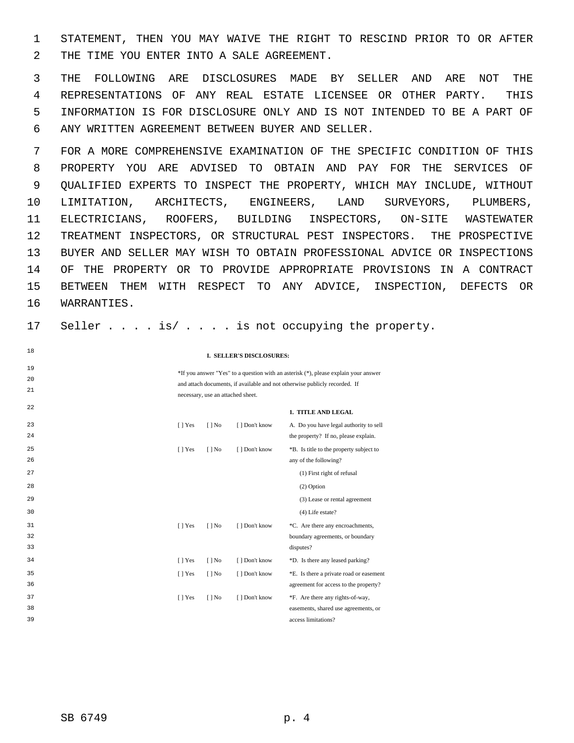1 STATEMENT, THEN YOU MAY WAIVE THE RIGHT TO RESCIND PRIOR TO OR AFTER 2 THE TIME YOU ENTER INTO A SALE AGREEMENT.

 3 THE FOLLOWING ARE DISCLOSURES MADE BY SELLER AND ARE NOT THE 4 REPRESENTATIONS OF ANY REAL ESTATE LICENSEE OR OTHER PARTY. THIS 5 INFORMATION IS FOR DISCLOSURE ONLY AND IS NOT INTENDED TO BE A PART OF 6 ANY WRITTEN AGREEMENT BETWEEN BUYER AND SELLER.

 7 FOR A MORE COMPREHENSIVE EXAMINATION OF THE SPECIFIC CONDITION OF THIS 8 PROPERTY YOU ARE ADVISED TO OBTAIN AND PAY FOR THE SERVICES OF 9 QUALIFIED EXPERTS TO INSPECT THE PROPERTY, WHICH MAY INCLUDE, WITHOUT 10 LIMITATION, ARCHITECTS, ENGINEERS, LAND SURVEYORS, PLUMBERS, 11 ELECTRICIANS, ROOFERS, BUILDING INSPECTORS, ON-SITE WASTEWATER 12 TREATMENT INSPECTORS, OR STRUCTURAL PEST INSPECTORS. THE PROSPECTIVE 13 BUYER AND SELLER MAY WISH TO OBTAIN PROFESSIONAL ADVICE OR INSPECTIONS 14 OF THE PROPERTY OR TO PROVIDE APPROPRIATE PROVISIONS IN A CONTRACT 15 BETWEEN THEM WITH RESPECT TO ANY ADVICE, INSPECTION, DEFECTS OR 16 WARRANTIES.

17 Seller . . . . is/ . . . . is not occupying the property.

**I. SELLER'S DISCLOSURES:**

\*If you answer "Yes" to a question with an asterisk (\*), please explain your answer and attach documents, if available and not otherwise publicly recorded. If necessary, use an attached sheet.

**1. TITLE AND LEGAL**

| 23 | $[$   Yes | $[$   No | [ ] Don't know | A. Do you have legal authority to sell  |
|----|-----------|----------|----------------|-----------------------------------------|
| 24 |           |          |                | the property? If no, please explain.    |
| 25 | $[$   Yes | $[$   No | [ ] Don't know | *B. Is title to the property subject to |
| 26 |           |          |                | any of the following?                   |
| 27 |           |          |                | (1) First right of refusal              |
| 28 |           |          |                | $(2)$ Option                            |
| 29 |           |          |                | (3) Lease or rental agreement           |
| 30 |           |          |                | (4) Life estate?                        |
| 31 | $[$   Yes | $[$   No | [ ] Don't know | *C. Are there any encroachments,        |
| 32 |           |          |                | boundary agreements, or boundary        |
| 33 |           |          |                | disputes?                               |
| 34 | $[$   Yes | $[$   No | [ ] Don't know | *D. Is there any leased parking?        |
| 35 | $[$   Yes | $[$   No | [] Don't know  | *E. Is there a private road or easement |
| 36 |           |          |                | agreement for access to the property?   |
| 37 | $[$   Yes | $[$   No | [ ] Don't know | *F. Are there any rights-of-way,        |
| 38 |           |          |                | easements, shared use agreements, or    |
| 39 |           |          |                | access limitations?                     |
|    |           |          |                |                                         |

18

19 20 21

22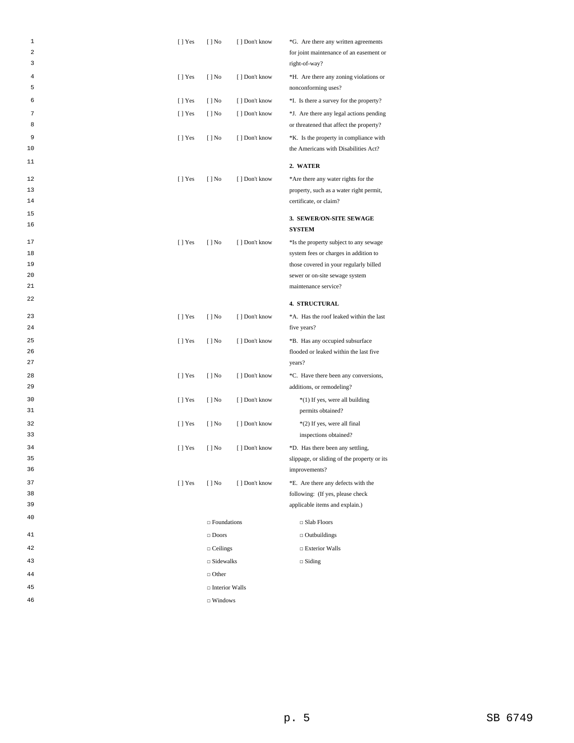| 1<br>2<br>3 | $[ ]$ Yes      | $[ ]$ No              | [ ] Don't know | *G. Are there any written agreements<br>for joint maintenance of an easement or<br>right-of-way? |
|-------------|----------------|-----------------------|----------------|--------------------------------------------------------------------------------------------------|
| 4<br>5      | $[ ]$ Yes      | $[ ]$ No              | [ ] Don't know | *H. Are there any zoning violations or<br>nonconforming uses?                                    |
| 6           | $[$   Yes      | $[ ]$ No              | [ ] Don't know | *I. Is there a survey for the property?                                                          |
| 7<br>8      | $[ ]$ Yes      | $[ ]$ No              | [ ] Don't know | *J. Are there any legal actions pending<br>or threatened that affect the property?               |
| 9<br>10     | [ ] Yes        | $[ ]$ No              | [] Don't know  | *K. Is the property in compliance with<br>the Americans with Disabilities Act?                   |
| 11          |                |                       |                | 2. WATER                                                                                         |
| 12          | $[$   Yes      | $[ ]$ No              | [ ] Don't know | *Are there any water rights for the                                                              |
| 13          |                |                       |                | property, such as a water right permit,                                                          |
| 14          |                |                       |                | certificate, or claim?                                                                           |
| 15          |                |                       |                | 3. SEWER/ON-SITE SEWAGE                                                                          |
| 16          |                |                       |                | <b>SYSTEM</b>                                                                                    |
| 17          | [ ] Yes        | $[ ]$ No              | [ ] Don't know | *Is the property subject to any sewage                                                           |
| 18          |                |                       |                | system fees or charges in addition to                                                            |
| 19          |                |                       |                | those covered in your regularly billed                                                           |
| 20          |                |                       |                | sewer or on-site sewage system                                                                   |
| 21          |                |                       |                | maintenance service?                                                                             |
| 22          |                |                       |                | <b>4. STRUCTURAL</b>                                                                             |
| 23          | $[ ]$ Yes      | $[ ]$ No              | [ ] Don't know | *A. Has the roof leaked within the last                                                          |
| 24          |                |                       |                | five years?                                                                                      |
| 25          | [ ] Yes        | $[ ]$ No              | [ ] Don't know | *B. Has any occupied subsurface                                                                  |
| 26          |                |                       |                | flooded or leaked within the last five                                                           |
| 27          |                |                       |                | years?                                                                                           |
| 28<br>29    | $[ ]$ Yes      | $[ ]$ No              | [ ] Don't know | *C. Have there been any conversions,<br>additions, or remodeling?                                |
| 30          | [ ] Yes        | $[ ]$ No              | [ ] Don't know | *(1) If yes, were all building                                                                   |
| 31          |                |                       |                | permits obtained?                                                                                |
| 32          | [ ] Yes        | $[ ]$ No              | [ ] Don't know | *(2) If yes, were all final                                                                      |
| 33          |                |                       |                | inspections obtained?                                                                            |
| 34          | [ ] Yes        | $[ ]$ No              | [ ] Don't know | *D. Has there been any settling,                                                                 |
| 35          |                |                       |                | slippage, or sliding of the property or its                                                      |
| 36          |                |                       |                | improvements?                                                                                    |
| 37          | $\lceil$   Yes | $[ ]$ No              | [] Don't know  | *E. Are there any defects with the                                                               |
| 38<br>39    |                |                       |                | following: (If yes, please check                                                                 |
| 40          |                |                       |                | applicable items and explain.)                                                                   |
|             |                | $\Box$ Foundations    |                | $\Box$ Slab Floors                                                                               |
| 41          |                | $\square$ Doors       |                | $\Box$ Outbuildings                                                                              |
| 42          |                | $\Box$ Ceilings       |                | $\Box$ Exterior Walls                                                                            |
| 43          |                | $\square$ Sidewalks   |                | $\Box$ Siding                                                                                    |
| 44          |                | $\Box$ Other          |                |                                                                                                  |
| 45          |                | $\Box$ Interior Walls |                |                                                                                                  |
| 46          |                | $\Box$ Windows        |                |                                                                                                  |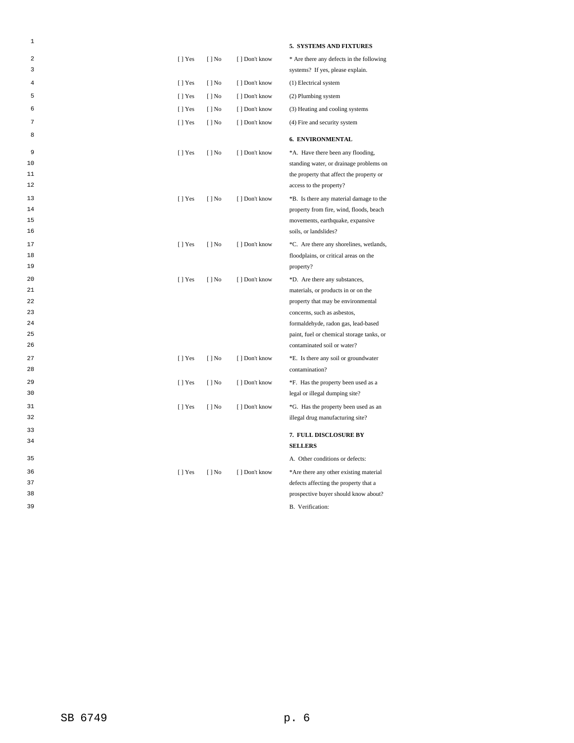| 1      |           |                          |                | 5. SYSTEMS AND FIXTURES                                             |
|--------|-----------|--------------------------|----------------|---------------------------------------------------------------------|
| 2      | $[$   Yes | $[$   No                 | [ ] Don't know | * Are there any defects in the following                            |
| 3      |           |                          |                | systems? If yes, please explain.                                    |
| 4      | $[ ]$ Yes | $[ ]$ No                 | [ ] Don't know | (1) Electrical system                                               |
| 5      | $[ ]$ Yes | $[ ]$ No                 | [ ] Don't know | (2) Plumbing system                                                 |
| 6      | $[ ]$ Yes | $[ ]$ No                 | [] Don't know  | (3) Heating and cooling systems                                     |
| 7      | $[ ]$ Yes | $[$   No                 | [] Don't know  | (4) Fire and security system                                        |
| 8      |           |                          |                | <b>6. ENVIRONMENTAL</b>                                             |
| 9      |           |                          |                |                                                                     |
| 10     | $[$   Yes | $[$   No                 | [ ] Don't know | *A. Have there been any flooding,                                   |
| 11     |           |                          |                | standing water, or drainage problems on                             |
| 12     |           |                          |                | the property that affect the property or<br>access to the property? |
|        |           |                          |                |                                                                     |
| 13     | $[ ]$ Yes | $[ ]$ No                 | [ ] Don't know | *B. Is there any material damage to the                             |
| 14     |           |                          |                | property from fire, wind, floods, beach                             |
| 15     |           |                          |                | movements, earthquake, expansive                                    |
| 16     |           |                          |                | soils, or landslides?                                               |
| $17\,$ | $[ ]$ Yes | $[ ]$ No                 | [ ] Don't know | *C. Are there any shorelines, wetlands,                             |
| 18     |           |                          |                | floodplains, or critical areas on the                               |
| 19     |           |                          |                | property?                                                           |
| 20     | $[$   Yes | $[$   No                 | [ ] Don't know | *D. Are there any substances,                                       |
| 21     |           |                          |                | materials, or products in or on the                                 |
| 22     |           |                          |                | property that may be environmental                                  |
| 23     |           |                          |                | concerns, such as asbestos,                                         |
| 24     |           |                          |                | formaldehyde, radon gas, lead-based                                 |
| 25     |           |                          |                | paint, fuel or chemical storage tanks, or                           |
| 26     |           |                          |                | contaminated soil or water?                                         |
| 27     | [] Yes    | $[$   No                 | [ ] Don't know | *E. Is there any soil or groundwater                                |
| 28     |           |                          |                | contamination?                                                      |
| 29     | $[ ]$ Yes | $[ ]$ No                 | [ ] Don't know | *F. Has the property been used as a                                 |
| 30     |           |                          |                | legal or illegal dumping site?                                      |
| 31     | $[$   Yes | $\lceil \cdot \rceil$ No | [ ] Don't know | *G. Has the property been used as an                                |
| 32     |           |                          |                | illegal drug manufacturing site?                                    |
| 33     |           |                          |                | 7. FULL DISCLOSURE BY                                               |
| 34     |           |                          |                | <b>SELLERS</b>                                                      |
| 35     |           |                          |                | A. Other conditions or defects:                                     |
|        |           |                          |                |                                                                     |
| 36     | $[ ]$ Yes | $[ ]$ No                 | [ ] Don't know | *Are there any other existing material                              |
| 37     |           |                          |                | defects affecting the property that a                               |
| 38     |           |                          |                | prospective buyer should know about?                                |
| 39     |           |                          |                | B. Verification:                                                    |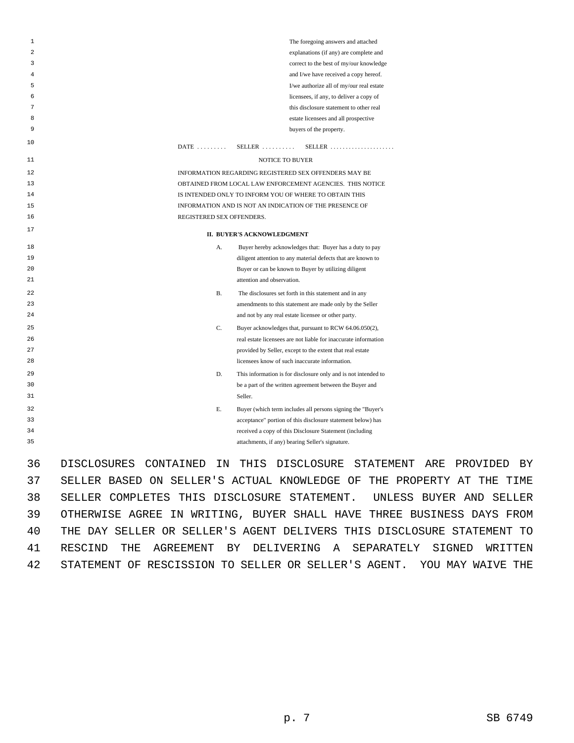| 1  |             |                           |           | The foregoing answers and attached                                                                                         |
|----|-------------|---------------------------|-----------|----------------------------------------------------------------------------------------------------------------------------|
| 2  |             |                           |           | explanations (if any) are complete and                                                                                     |
| 3  |             |                           |           | correct to the best of my/our knowledge                                                                                    |
| 4  |             |                           |           | and I/we have received a copy hereof.                                                                                      |
| 5  |             |                           |           | I/we authorize all of my/our real estate                                                                                   |
| 6  |             |                           |           | licensees, if any, to deliver a copy of                                                                                    |
| 7  |             |                           |           | this disclosure statement to other real                                                                                    |
| 8  |             |                           |           | estate licensees and all prospective                                                                                       |
| 9  |             |                           |           | buyers of the property.                                                                                                    |
| 10 |             | $DATE$                    |           | $SELLER$<br>$SELLER$                                                                                                       |
| 11 |             |                           |           | NOTICE TO BUYER                                                                                                            |
| 12 |             |                           |           | INFORMATION REGARDING REGISTERED SEX OFFENDERS MAY BE                                                                      |
| 13 |             |                           |           | OBTAINED FROM LOCAL LAW ENFORCEMENT AGENCIES. THIS NOTICE                                                                  |
| 14 |             |                           |           | IS INTENDED ONLY TO INFORM YOU OF WHERE TO OBTAIN THIS                                                                     |
| 15 |             |                           |           | INFORMATION AND IS NOT AN INDICATION OF THE PRESENCE OF                                                                    |
| 16 |             | REGISTERED SEX OFFENDERS. |           |                                                                                                                            |
| 17 |             |                           |           | II. BUYER'S ACKNOWLEDGMENT                                                                                                 |
| 18 |             |                           | А.        | Buyer hereby acknowledges that: Buyer has a duty to pay                                                                    |
| 19 |             |                           |           | diligent attention to any material defects that are known to                                                               |
| 20 |             |                           |           | Buyer or can be known to Buyer by utilizing diligent                                                                       |
| 21 |             |                           |           | attention and observation.                                                                                                 |
| 22 |             |                           | <b>B.</b> | The disclosures set forth in this statement and in any                                                                     |
| 23 |             |                           |           | amendments to this statement are made only by the Seller                                                                   |
| 24 |             |                           |           | and not by any real estate licensee or other party.                                                                        |
| 25 |             |                           | C.        | Buyer acknowledges that, pursuant to RCW 64.06.050(2),                                                                     |
| 26 |             |                           |           | real estate licensees are not liable for inaccurate information                                                            |
| 27 |             |                           |           | provided by Seller, except to the extent that real estate                                                                  |
| 28 |             |                           |           | licensees know of such inaccurate information.                                                                             |
| 29 |             |                           | D.        | This information is for disclosure only and is not intended to                                                             |
| 30 |             |                           |           | be a part of the written agreement between the Buyer and                                                                   |
| 31 |             |                           |           | Seller.                                                                                                                    |
| 32 |             |                           | Е.        |                                                                                                                            |
| 33 |             |                           |           | Buyer (which term includes all persons signing the "Buyer's<br>acceptance" portion of this disclosure statement below) has |
| 34 |             |                           |           | received a copy of this Disclosure Statement (including                                                                    |
| 35 |             |                           |           |                                                                                                                            |
|    |             |                           |           | attachments, if any) bearing Seller's signature.                                                                           |
| 36 | DISCLOSURES | CONTAINED                 | ΤN        | <b>DISCLOSURE</b><br>THTS<br>STATEMENT<br>А                                                                                |

ARE PROVIDED BY 37 SELLER BASED ON SELLER'S ACTUAL KNOWLEDGE OF THE PROPERTY AT THE TIME 38 SELLER COMPLETES THIS DISCLOSURE STATEMENT. UNLESS BUYER AND SELLER 39 OTHERWISE AGREE IN WRITING, BUYER SHALL HAVE THREE BUSINESS DAYS FROM 40 THE DAY SELLER OR SELLER'S AGENT DELIVERS THIS DISCLOSURE STATEMENT TO 41 RESCIND THE AGREEMENT BY DELIVERING A SEPARATELY SIGNED WRITTEN 42 STATEMENT OF RESCISSION TO SELLER OR SELLER'S AGENT. YOU MAY WAIVE THE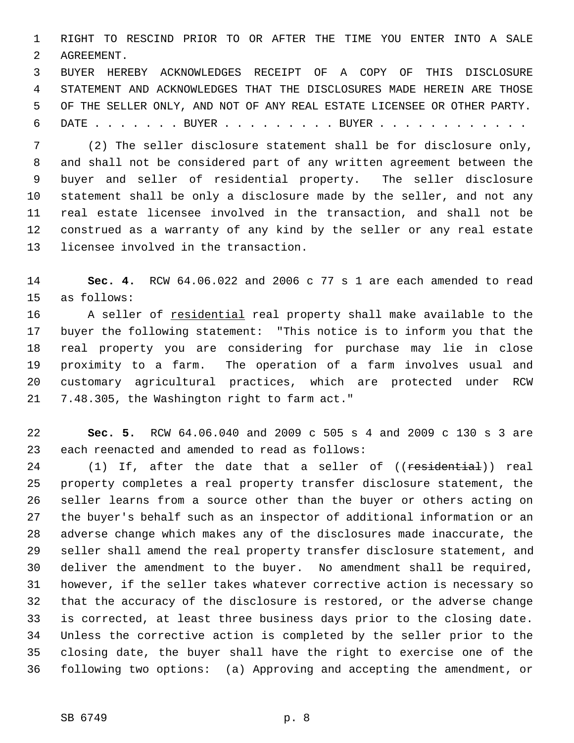1 RIGHT TO RESCIND PRIOR TO OR AFTER THE TIME YOU ENTER INTO A SALE 2 AGREEMENT.

 3 BUYER HEREBY ACKNOWLEDGES RECEIPT OF A COPY OF THIS DISCLOSURE 4 STATEMENT AND ACKNOWLEDGES THAT THE DISCLOSURES MADE HEREIN ARE THOSE 5 OF THE SELLER ONLY, AND NOT OF ANY REAL ESTATE LICENSEE OR OTHER PARTY. 6 DATE . . . . . . . BUYER . . . . . . . . . BUYER . . . . . . . . . . . .

 7 (2) The seller disclosure statement shall be for disclosure only, 8 and shall not be considered part of any written agreement between the 9 buyer and seller of residential property. The seller disclosure 10 statement shall be only a disclosure made by the seller, and not any 11 real estate licensee involved in the transaction, and shall not be 12 construed as a warranty of any kind by the seller or any real estate 13 licensee involved in the transaction.

14 **Sec. 4.** RCW 64.06.022 and 2006 c 77 s 1 are each amended to read 15 as follows:

16 A seller of residential real property shall make available to the 17 buyer the following statement: "This notice is to inform you that the 18 real property you are considering for purchase may lie in close 19 proximity to a farm. The operation of a farm involves usual and 20 customary agricultural practices, which are protected under RCW 21 7.48.305, the Washington right to farm act."

22 **Sec. 5.** RCW 64.06.040 and 2009 c 505 s 4 and 2009 c 130 s 3 are 23 each reenacted and amended to read as follows:

24 (1) If, after the date that a seller of ((residential)) real 25 property completes a real property transfer disclosure statement, the 26 seller learns from a source other than the buyer or others acting on 27 the buyer's behalf such as an inspector of additional information or an 28 adverse change which makes any of the disclosures made inaccurate, the 29 seller shall amend the real property transfer disclosure statement, and 30 deliver the amendment to the buyer. No amendment shall be required, 31 however, if the seller takes whatever corrective action is necessary so 32 that the accuracy of the disclosure is restored, or the adverse change 33 is corrected, at least three business days prior to the closing date. 34 Unless the corrective action is completed by the seller prior to the 35 closing date, the buyer shall have the right to exercise one of the 36 following two options: (a) Approving and accepting the amendment, or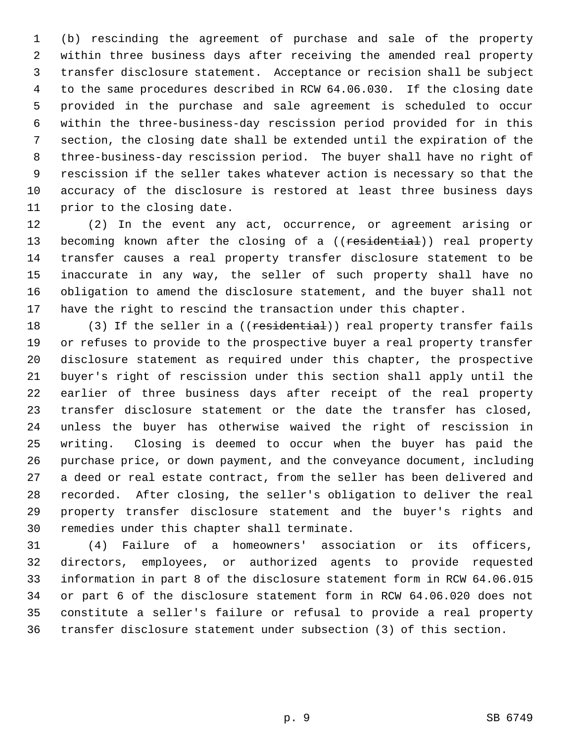1 (b) rescinding the agreement of purchase and sale of the property 2 within three business days after receiving the amended real property 3 transfer disclosure statement. Acceptance or recision shall be subject 4 to the same procedures described in RCW 64.06.030. If the closing date 5 provided in the purchase and sale agreement is scheduled to occur 6 within the three-business-day rescission period provided for in this 7 section, the closing date shall be extended until the expiration of the 8 three-business-day rescission period. The buyer shall have no right of 9 rescission if the seller takes whatever action is necessary so that the 10 accuracy of the disclosure is restored at least three business days 11 prior to the closing date.

12 (2) In the event any act, occurrence, or agreement arising or 13 becoming known after the closing of a ((residential)) real property 14 transfer causes a real property transfer disclosure statement to be 15 inaccurate in any way, the seller of such property shall have no 16 obligation to amend the disclosure statement, and the buyer shall not 17 have the right to rescind the transaction under this chapter.

18 (3) If the seller in a ((residential)) real property transfer fails 19 or refuses to provide to the prospective buyer a real property transfer 20 disclosure statement as required under this chapter, the prospective 21 buyer's right of rescission under this section shall apply until the 22 earlier of three business days after receipt of the real property 23 transfer disclosure statement or the date the transfer has closed, 24 unless the buyer has otherwise waived the right of rescission in 25 writing. Closing is deemed to occur when the buyer has paid the 26 purchase price, or down payment, and the conveyance document, including 27 a deed or real estate contract, from the seller has been delivered and 28 recorded. After closing, the seller's obligation to deliver the real 29 property transfer disclosure statement and the buyer's rights and 30 remedies under this chapter shall terminate.

31 (4) Failure of a homeowners' association or its officers, 32 directors, employees, or authorized agents to provide requested 33 information in part 8 of the disclosure statement form in RCW 64.06.015 34 or part 6 of the disclosure statement form in RCW 64.06.020 does not 35 constitute a seller's failure or refusal to provide a real property 36 transfer disclosure statement under subsection (3) of this section.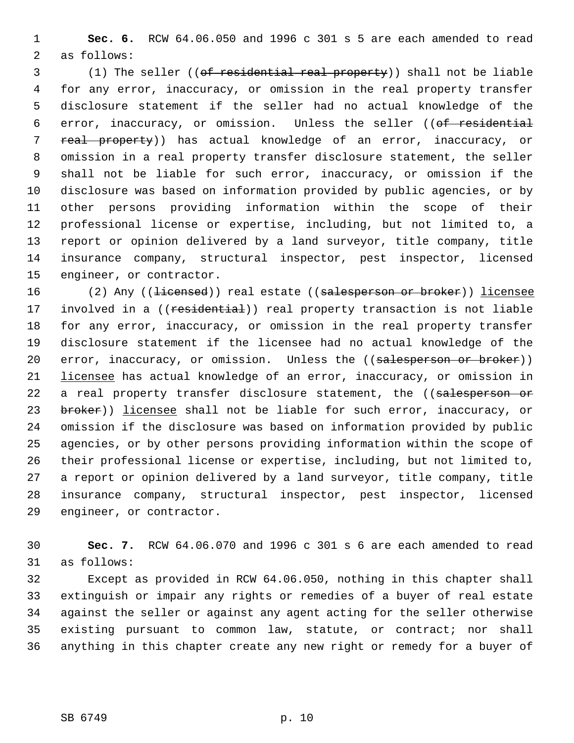1 **Sec. 6.** RCW 64.06.050 and 1996 c 301 s 5 are each amended to read 2 as follows:

 3 (1) The seller ((of residential real property)) shall not be liable 4 for any error, inaccuracy, or omission in the real property transfer 5 disclosure statement if the seller had no actual knowledge of the 6 error, inaccuracy, or omission. Unless the seller ((of residential 7 real property)) has actual knowledge of an error, inaccuracy, or 8 omission in a real property transfer disclosure statement, the seller 9 shall not be liable for such error, inaccuracy, or omission if the 10 disclosure was based on information provided by public agencies, or by 11 other persons providing information within the scope of their 12 professional license or expertise, including, but not limited to, a 13 report or opinion delivered by a land surveyor, title company, title 14 insurance company, structural inspector, pest inspector, licensed 15 engineer, or contractor.

16 (2) Any ((<del>licensed</del>)) real estate ((salesperson or broker)) licensee 17 involved in a ((residential)) real property transaction is not liable 18 for any error, inaccuracy, or omission in the real property transfer 19 disclosure statement if the licensee had no actual knowledge of the 20 error, inaccuracy, or omission. Unless the ((salesperson or broker)) 21 licensee has actual knowledge of an error, inaccuracy, or omission in 22 a real property transfer disclosure statement, the ((salesperson or 23 broker)) licensee shall not be liable for such error, inaccuracy, or 24 omission if the disclosure was based on information provided by public 25 agencies, or by other persons providing information within the scope of 26 their professional license or expertise, including, but not limited to, 27 a report or opinion delivered by a land surveyor, title company, title 28 insurance company, structural inspector, pest inspector, licensed 29 engineer, or contractor.

30 **Sec. 7.** RCW 64.06.070 and 1996 c 301 s 6 are each amended to read 31 as follows:

32 Except as provided in RCW 64.06.050, nothing in this chapter shall 33 extinguish or impair any rights or remedies of a buyer of real estate 34 against the seller or against any agent acting for the seller otherwise 35 existing pursuant to common law, statute, or contract; nor shall 36 anything in this chapter create any new right or remedy for a buyer of